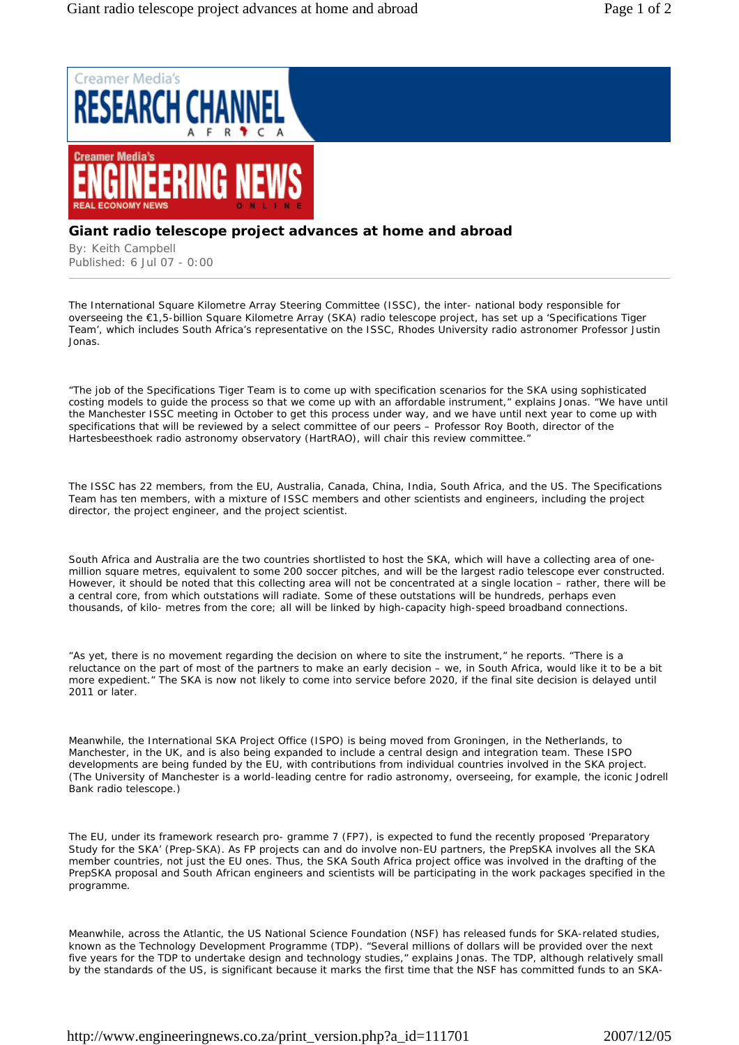

## **Giant radio telescope project advances at home and abroad**

By: Keith Campbell Published: 6 Jul 07 - 0:00

The International Square Kilometre Array Steering Committee (ISSC), the inter- national body responsible for overseeing the €1,5-billion Square Kilometre Array (SKA) radio telescope project, has set up a 'Specifications Tiger Team', which includes South Africa's representative on the ISSC, Rhodes University radio astronomer Professor Justin Jonas.

"The job of the Specifications Tiger Team is to come up with specification scenarios for the SKA using sophisticated costing models to guide the process so that we come up with an affordable instrument," explains Jonas. "We have until the Manchester ISSC meeting in October to get this process under way, and we have until next year to come up with specifications that will be reviewed by a select committee of our peers – Professor Roy Booth, director of the Hartesbeesthoek radio astronomy observatory (HartRAO), will chair this review committee."

The ISSC has 22 members, from the EU, Australia, Canada, China, India, South Africa, and the US. The Specifications Team has ten members, with a mixture of ISSC members and other scientists and engineers, including the project director, the project engineer, and the project scientist.

South Africa and Australia are the two countries shortlisted to host the SKA, which will have a collecting area of onemillion square metres, equivalent to some 200 soccer pitches, and will be the largest radio telescope ever constructed. However, it should be noted that this collecting area will not be concentrated at a single location – rather, there will be a central core, from which outstations will radiate. Some of these outstations will be hundreds, perhaps even thousands, of kilo- metres from the core; all will be linked by high-capacity high-speed broadband connections.

"As yet, there is no movement regarding the decision on where to site the instrument," he reports. "There is a reluctance on the part of most of the partners to make an early decision – we, in South Africa, would like it to be a bit more expedient." The SKA is now not likely to come into service before 2020, if the final site decision is delayed until 2011 or later.

Meanwhile, the International SKA Project Office (ISPO) is being moved from Groningen, in the Netherlands, to Manchester, in the UK, and is also being expanded to include a central design and integration team. These ISPO developments are being funded by the EU, with contributions from individual countries involved in the SKA project. (The University of Manchester is a world-leading centre for radio astronomy, overseeing, for example, the iconic Jodrell Bank radio telescope.)

The EU, under its framework research pro- gramme 7 (FP7), is expected to fund the recently proposed 'Preparatory Study for the SKA' (Prep-SKA). As FP projects can and do involve non-EU partners, the PrepSKA involves all the SKA member countries, not just the EU ones. Thus, the SKA South Africa project office was involved in the drafting of the PrepSKA proposal and South African engineers and scientists will be participating in the work packages specified in the programme.

Meanwhile, across the Atlantic, the US National Science Foundation (NSF) has released funds for SKA-related studies, known as the Technology Development Programme (TDP). "Several millions of dollars will be provided over the next five years for the TDP to undertake design and technology studies," explains Jonas. The TDP, although relatively small by the standards of the US, is significant because it marks the first time that the NSF has committed funds to an SKA-